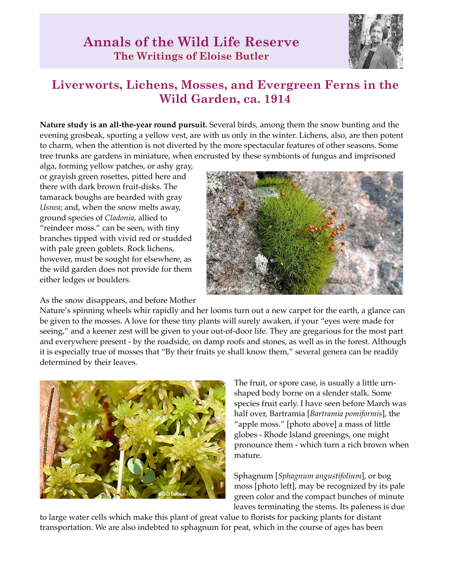

## **Liverworts, Lichens, Mosses, and Evergreen Ferns in the Wild Garden, ca. 1914**

**Nature study is an all-the-year round pursuit.** Several birds, among them the snow bunting and the evening grosbeak, sporting a yellow vest, are with us only in the winter. Lichens, also, are then potent to charm, when the attention is not diverted by the more spectacular features of other seasons. Some tree trunks are gardens in miniature, when encrusted by these symbionts of fungus and imprisoned

alga, forming yellow patches, or ashy gray, or grayish green rosettes, pitted here and there with dark brown fruit-disks. The tamarack boughs are bearded with gray *Usnea*; and, when the snow melts away, ground species of *Cladonia*, allied to "reindeer moss." can be seen, with tiny branches tipped with vivid red or studded with pale green goblets. Rock lichens, however, must be sought for elsewhere, as the wild garden does not provide for them either ledges or boulders.

As the snow disappears, and before Mother



Nature's spinning wheels whir rapidly and her looms turn out a new carpet for the earth, a glance can be given to the mosses. A love for these tiny plants will surely awaken, if your "eyes were made for seeing," and a keener zest will be given to your out-of-door life. They are gregarious for the most part and everywhere present - by the roadside, on damp roofs and stones, as well as in the forest. Although it is especially true of mosses that "By their fruits ye shall know them," several genera can be readily determined by their leaves.



The fruit, or spore case, is usually a little urnshaped body borne on a slender stalk. Some species fruit early. I have seen before March was half over, Bartramia [*Bartramia pomiformis*], the "apple moss." [photo above] a mass of little globes - Rhode Island greenings, one might pronounce them - which turn a rich brown when mature.

Sphagnum [*Sphagnum angustifolium*], or bog moss [photo left], may be recognized by its pale green color and the compact bunches of minute leaves terminating the stems. Its paleness is due

to large water cells which make this plant of great value to florists for packing plants for distant transportation. We are also indebted to sphagnum for peat, which in the course of ages has been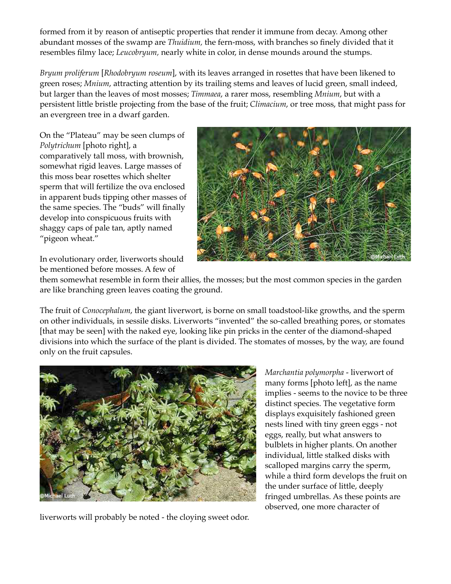formed from it by reason of antiseptic properties that render it immune from decay. Among other abundant mosses of the swamp are *Thuidium,* the fern-moss, with branches so finely divided that it resembles filmy lace; *Leucobryum,* nearly white in color, in dense mounds around the stumps.

*Bryum proliferum* [*Rhodobryum roseum*], with its leaves arranged in rosettes that have been likened to green roses; *Mnium*, attracting attention by its trailing stems and leaves of lucid green, small indeed, but larger than the leaves of most mosses; *Timmaea*, a rarer moss, resembling *Mnium*, but with a persistent little bristle projecting from the base of the fruit; *Climacium*, or tree moss, that might pass for an evergreen tree in a dwarf garden.

On the "Plateau" may be seen clumps of *Polytrichum* [photo right], a comparatively tall moss, with brownish, somewhat rigid leaves. Large masses of this moss bear rosettes which shelter sperm that will fertilize the ova enclosed in apparent buds tipping other masses of the same species. The "buds" will finally develop into conspicuous fruits with shaggy caps of pale tan, aptly named "pigeon wheat."



In evolutionary order, liverworts should be mentioned before mosses. A few of

them somewhat resemble in form their allies, the mosses; but the most common species in the garden are like branching green leaves coating the ground.

The fruit of *Conocephalum*, the giant liverwort, is borne on small toadstool-like growths, and the sperm on other individuals, in sessile disks. Liverworts "invented" the so-called breathing pores, or stomates [that may be seen] with the naked eye, looking like pin pricks in the center of the diamond-shaped divisions into which the surface of the plant is divided. The stomates of mosses, by the way, are found only on the fruit capsules.



liverworts will probably be noted - the cloying sweet odor.

*Marchantia polymorpha* - liverwort of many forms [photo left], as the name implies - seems to the novice to be three distinct species. The vegetative form displays exquisitely fashioned green nests lined with tiny green eggs - not eggs, really, but what answers to bulblets in higher plants. On another individual, little stalked disks with scalloped margins carry the sperm, while a third form develops the fruit on the under surface of little, deeply fringed umbrellas. As these points are observed, one more character of